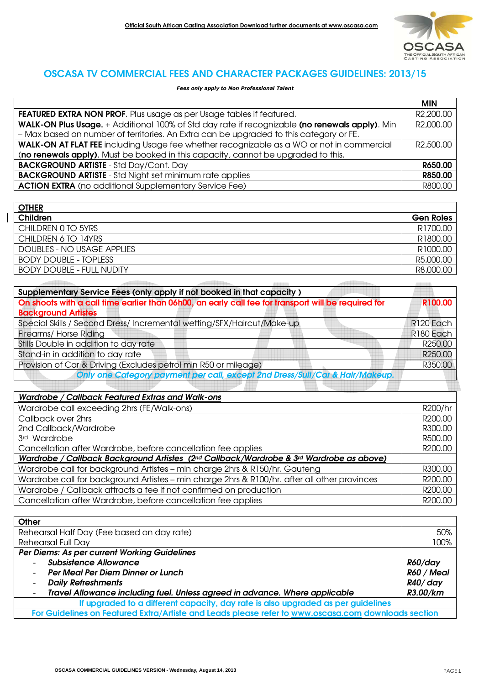

## OSCASA TV COMMERCIAL FEES AND CHARACTER PACKAGES GUIDELINES: 2013/15

*Fees only apply to Non Professional Talent* 

|                                                                                                | <b>MIN</b>             |
|------------------------------------------------------------------------------------------------|------------------------|
| FEATURED EXTRA NON PROF. Plus usage as per Usage tables if featured.                           | R <sub>2</sub> ,200.00 |
| WALK-ON Plus Usage. + Additional 100% of Std day rate if recognizable (no renewals apply). Min | R2,000.00              |
| - Max based on number of territories. An Extra can be upgraded to this category or FE.         |                        |
| WALK-ON AT FLAT FEE including Usage fee whether recognizable as a WO or not in commercial      | R2,500.00              |
| (no renewals apply). Must be booked in this capacity, cannot be upgraded to this.              |                        |
| <b>BACKGROUND ARTISTE - Std Day/Cont. Day</b>                                                  | R650.00                |
| <b>BACKGROUND ARTISTE</b> - Std Night set minimum rate applies                                 | R850.00                |
| <b>ACTION EXTRA</b> (no additional Supplementary Service Fee)                                  | R800.00                |

| <b>OTHER</b>                     |                      |
|----------------------------------|----------------------|
| Children                         | <b>Gen Roles</b>     |
| CHILDREN 0 TO 5YRS               | R1700.00             |
| CHILDREN 6 TO 14YRS              | R1800.00             |
| DOUBLES - NO USAGE APPLIES       | R <sub>1000.00</sub> |
| <b>BODY DOUBLE - TOPLESS</b>     | R5,000.00            |
| <b>BODY DOUBLE - FULL NUDITY</b> | R8,000.00            |

| Supplementary Service Fees (only apply if not booked in that capacity)                              |                  |
|-----------------------------------------------------------------------------------------------------|------------------|
| On shoots with a call time earlier than 06h00, an early call fee for transport will be required for | R100.00          |
| <b>Background Artistes</b>                                                                          |                  |
| Special Skills / Second Dress/ Incremental wetting/SFX/Haircut/Make-up                              | R120 Each        |
| Firearms/ Horse Riding                                                                              | R180 Each        |
| Stills Double in addition to day rate                                                               | R250.00          |
| Stand-in in addition to day rate                                                                    | R250.00          |
| Provision of Car & Driving (Excludes petrol min R50 or mileage)                                     | R350.00          |
| Only one Category payment per call, except 2nd Dress/Suit/Car & Hair/Makeup.                        |                  |
|                                                                                                     |                  |
| Wardrobe / Callback Featured Extras and Walk-ons                                                    |                  |
| $M$ cushek e e ell evenesine Qhue (EE $M$ lell ene)                                                 | $DQQQH_{\alpha}$ |

| Wardrobe call exceeding 2hrs (FE/Walk-ons)                                                   | R200/hr |
|----------------------------------------------------------------------------------------------|---------|
| Callback over 2hrs                                                                           | R200.00 |
| 2nd Callback/Wardrobe                                                                        | R300,00 |
| 3rd Wardrobe                                                                                 | R500.00 |
| Cancellation after Wardrobe, before cancellation fee applies                                 | R200.00 |
| Wardrobe / Callback Background Artistes (2nd Callback/Wardrobe & 3rd Wardrobe as above)      |         |
| Wardrobe call for background Artistes - min charge 2hrs & R150/hr. Gauteng                   | R300.00 |
| Wardrobe call for background Artistes - min charge 2hrs & R100/hr. after all other provinces | R200.00 |
| Wardrobe / Callback attracts a fee if not confirmed on production                            | R200.00 |
| Cancellation after Wardrobe, before cancellation fee applies                                 | R200.00 |

| Other                                                                                               |            |
|-----------------------------------------------------------------------------------------------------|------------|
| Rehearsal Half Day (Fee based on day rate)                                                          | 50%        |
| <b>Rehearsal Full Day</b>                                                                           | 100%       |
| Per Diems: As per current Working Guidelines                                                        |            |
| <b>Subsistence Allowance</b>                                                                        | R60/day    |
| Per Meal Per Diem Dinner or Lunch                                                                   | R60 / Meal |
| <b>Daily Refreshments</b>                                                                           | R40/day    |
| Travel Allowance including fuel. Unless agreed in advance. Where applicable                         | R3.00/km   |
| If upgraded to a different capacity, day rate is also upgraded as per guidelines                    |            |
| For Guidelines on Featured Extra/Artiste and Leads please refer to www.oscasa.com downloads section |            |